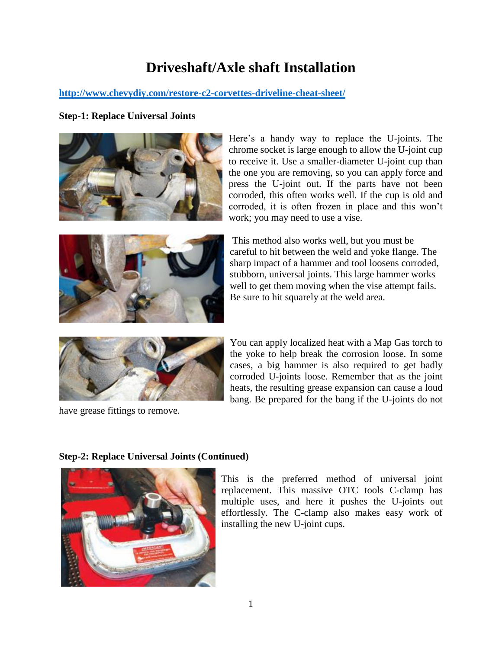# **Driveshaft/Axle shaft Installation**

## **<http://www.chevydiy.com/restore-c2-corvettes-driveline-cheat-sheet/>**

### **Step-1: Replace Universal Joints**



Here's a handy way to replace the U-joints. The chrome socket is large enough to allow the U-joint cup to receive it. Use a smaller-diameter U-joint cup than the one you are removing, so you can apply force and press the U-joint out. If the parts have not been corroded, this often works well. If the cup is old and corroded, it is often frozen in place and this won't work; you may need to use a vise.



This method also works well, but you must be careful to hit between the weld and yoke flange. The sharp impact of a hammer and tool loosens corroded, stubborn, universal joints. This large hammer works well to get them moving when the vise attempt fails. Be sure to hit squarely at the weld area.



have grease fittings to remove.

You can apply localized heat with a Map Gas torch to the yoke to help break the corrosion loose. In some cases, a big hammer is also required to get badly corroded U-joints loose. Remember that as the joint heats, the resulting grease expansion can cause a loud bang. Be prepared for the bang if the U-joints do not



**Step-2: Replace Universal Joints (Continued)**

This is the preferred method of universal joint replacement. This massive OTC tools C-clamp has multiple uses, and here it pushes the U-joints out effortlessly. The C-clamp also makes easy work of installing the new U-joint cups.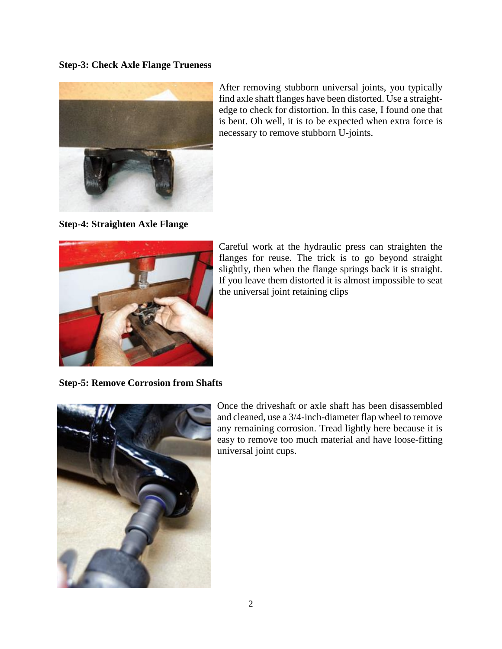#### **Step-3: Check Axle Flange Trueness**



After removing stubborn universal joints, you typically find axle shaft flanges have been distorted. Use a straightedge to check for distortion. In this case, I found one that is bent. Oh well, it is to be expected when extra force is necessary to remove stubborn U-joints.

**Step-4: Straighten Axle Flange**



Careful work at the hydraulic press can straighten the flanges for reuse. The trick is to go beyond straight slightly, then when the flange springs back it is straight. If you leave them distorted it is almost impossible to seat the universal joint retaining clips

**Step-5: Remove Corrosion from Shafts**



Once the driveshaft or axle shaft has been disassembled and cleaned, use a 3/4-inch-diameter flap wheel to remove any remaining corrosion. Tread lightly here because it is easy to remove too much material and have loose-fitting universal joint cups.